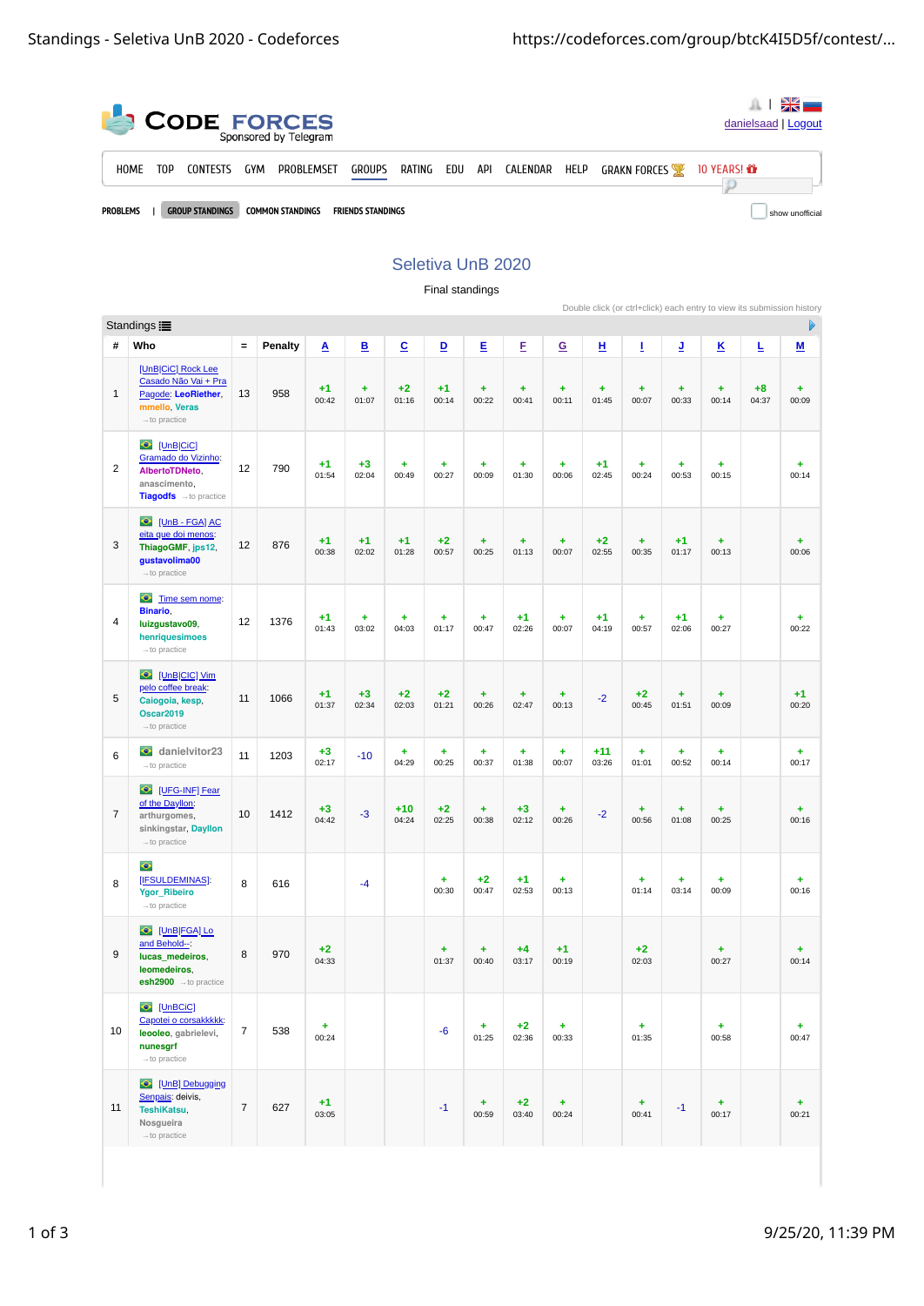| <b>CODE FORCES</b> |                                                                                                  |                  |                 |     |            |               |        |     |     |          |      |                     | danielsaad   Logout |  |
|--------------------|--------------------------------------------------------------------------------------------------|------------------|-----------------|-----|------------|---------------|--------|-----|-----|----------|------|---------------------|---------------------|--|
|                    | <b>HOME</b>                                                                                      | T <sub>0</sub> P | <b>CONTESTS</b> | GYM | PROBLEMSET | <b>GROUPS</b> | RATING | EDU | API | CALENDAR | HELP | <b>GRAKN FORCES</b> | 10 YEARS! <b>ሸ</b>  |  |
|                    | <b>PROBLEMS</b><br><b>GROUP STANDINGS</b><br><b>COMMON STANDINGS</b><br><b>FRIENDS STANDINGS</b> |                  |                 |     |            |               |        |     |     |          |      |                     | show unofficial     |  |

## Seletiva UnB 2020 Final standings

|                 | Double click (or ctrl+click) each entry to view its submission history<br>Ь<br>Standings <b>i≣</b>                          |            |         |               |                         |                    |                    |                    |                    |                    |                    |                    |                    |                    |               |                          |
|-----------------|-----------------------------------------------------------------------------------------------------------------------------|------------|---------|---------------|-------------------------|--------------------|--------------------|--------------------|--------------------|--------------------|--------------------|--------------------|--------------------|--------------------|---------------|--------------------------|
|                 |                                                                                                                             |            |         |               |                         |                    |                    |                    |                    |                    |                    |                    |                    |                    |               |                          |
| #               | Who                                                                                                                         | $\equiv$   | Penalty | A             | $\overline{\mathbf{B}}$ | $\overline{c}$     | $\overline{D}$     | E                  | E                  | $\overline{G}$     | н                  | I                  | ı                  | K                  | Ŀ             | $\underline{\mathsf{M}}$ |
| $\mathbf 1$     | [UnB CiC] Rock Lee<br>Casado Não Vai + Pra<br>Pagode: LeoRiether,<br>mmello, Veras<br>$\rightarrow$ to practice             | 13         | 958     | $+1$<br>00:42 | $\ddot{}$<br>01:07      | $+2$<br>01:16      | $+1$<br>00:14      | $\ddot{}$<br>00:22 | $\ddot{}$<br>00:41 | $\ddot{}$<br>00:11 | $\ddot{}$<br>01:45 | $\ddot{}$<br>00:07 | $\ddot{}$<br>00:33 | $\ddot{}$<br>00:14 | $+8$<br>04:37 | $\ddot{}$<br>00:09       |
| $\overline{2}$  | C [UnB CiC]<br>Gramado do Vizinho:<br>AlbertoTDNeto.<br>anascimento,<br>Tiagodfs - to practice                              | 12         | 790     | $+1$<br>01:54 | $+3$<br>02:04           | ÷<br>00:49         | $\ddot{}$<br>00:27 | ÷<br>00:09         | $\ddot{}$<br>01:30 | $\ddot{}$<br>00:06 | $+1$<br>02:45      | $\ddot{}$<br>00:24 | ÷<br>00:53         | $\ddot{}$<br>00:15 |               | ÷<br>00:14               |
| 3               | $\bullet$<br>[UnB - FGA] AC<br>eita que doi menos:<br>ThiagoGMF, jps12,<br>gustavolima00<br>$\rightarrow$ to practice       | 12         | 876     | $+1$<br>00:38 | $+1$<br>02:02           | $+1$<br>01:28      | $+2$<br>00:57      | Ŧ.<br>00:25        | $\ddot{}$<br>01:13 | $\ddot{}$<br>00:07 | $+2$<br>02:55      | $\ddot{}$<br>00:35 | $+1$<br>01:17      | $\ddot{}$<br>00:13 |               | ÷<br>00:06               |
| $\overline{4}$  | $\bullet$<br>Time sem nome:<br>Binario,<br>luizgustavo09,<br>henriquesimoes<br>$\rightarrow$ to practice                    | 12         | 1376    | $+1$<br>01:43 | $\ddot{}$<br>03:02      | $\ddot{}$<br>04:03 | $\ddot{}$<br>01:17 | ÷,<br>00:47        | $+1$<br>02:26      | $\ddot{}$<br>00:07 | $+1$<br>04:19      | $\ddot{}$<br>00:57 | $+1$<br>02:06      | ÷<br>00:27         |               | $\ddot{}$<br>00:22       |
| 5               | [UnB CIC] Vim<br>$\ddot{\bullet}$<br>pelo coffee break:<br>Caiogoia, kesp.<br><b>Oscar2019</b><br>$\rightarrow$ to practice | 11         | 1066    | $+1$<br>01:37 | $+3$<br>02:34           | $+2$<br>02:03      | $+2$<br>01:21      | $\ddot{}$<br>00:26 | $\ddot{}$<br>02:47 | $\ddot{}$<br>00:13 | $-2$               | $+2$<br>00:45      | $\ddot{}$<br>01:51 | ÷<br>00:09         |               | $+1$<br>00:20            |
| $6\phantom{1}6$ | danielvitor23<br>$\rightarrow$ to practice                                                                                  | 11         | 1203    | $+3$<br>02:17 | $-10$                   | $\ddot{}$<br>04:29 | $\ddot{}$<br>00:25 | $\ddot{}$<br>00:37 | $\ddot{}$<br>01:38 | $\ddot{}$<br>00:07 | $+11$<br>03:26     | $\ddot{}$<br>01:01 | $\ddot{}$<br>00:52 | ÷<br>00:14         |               | ÷<br>00:17               |
| $\overline{7}$  | UFG-INF] Fear<br>of the Dayllon:<br>arthurgomes,<br>sinkingstar, Dayllon<br>$\rightarrow$ to practice                       | 10         | 1412    | $+3$<br>04:42 | $-3$                    | $+10$<br>04:24     | $+2$<br>02:25      | $\ddot{}$<br>00:38 | $+3$<br>02:12      | $\ddot{}$<br>00:26 | $-2$               | $\ddot{}$<br>00:56 | $\ddot{}$<br>01:08 | $\ddot{}$<br>00:25 |               | ÷<br>00:16               |
| 8               | $\bullet$<br>[IFSULDEMINAS]:<br><b>Ygor_Ribeiro</b><br>$\rightarrow$ to practice                                            | 8          | 616     |               | $-4$                    |                    | $\ddot{}$<br>00:30 | $+2$<br>00:47      | $+1$<br>02:53      | ÷<br>00:13         |                    | $\ddot{}$<br>01:14 | $\ddot{}$<br>03:14 | ÷<br>00:09         |               | ÷<br>00:16               |
| 9               | [UnB FGA] Lo<br>$\bullet$<br>and Behold--:<br>lucas medeiros,<br>leomedeiros.<br>$\text{esh}2900$ $\rightarrow$ to practice | 8          | 970     | $+2$<br>04:33 |                         |                    | $\ddot{}$<br>01:37 | $\ddot{}$<br>00:40 | $+4$<br>03:17      | $+1$<br>00:19      |                    | $+2$<br>02:03      |                    | $\ddot{}$<br>00:27 |               | $\ddot{}$<br>00:14       |
| 10              | <b>O</b> [UnBCiC]<br>Capotei o corsakkkkk:<br>leooleo, gabrielevi,<br>nunesgrf<br>$\rightarrow$ to practice                 | $\bf 7$    | 538     | ÷<br>00:24    |                         |                    | $-6$               | ÷<br>01:25         | $+2$<br>02:36      | ÷<br>00:33         |                    | ÷<br>01:35         |                    | ÷<br>00:58         |               | ÷<br>00:47               |
| 11              | UnB] Debugging<br>Senpais: deivis,<br>TeshiKatsu,<br>Nosqueira<br>$\rightarrow$ to practice                                 | $\sqrt{7}$ | 627     | $+1$<br>03:05 |                         |                    | $-1$               | ÷<br>00:59         | $+2$<br>03:40      | ÷<br>00:24         |                    | ÷<br>00:41         | $-1$               | ÷<br>00:17         |               | $+$<br>00:21             |
|                 |                                                                                                                             |            |         |               |                         |                    |                    |                    |                    |                    |                    |                    |                    |                    |               |                          |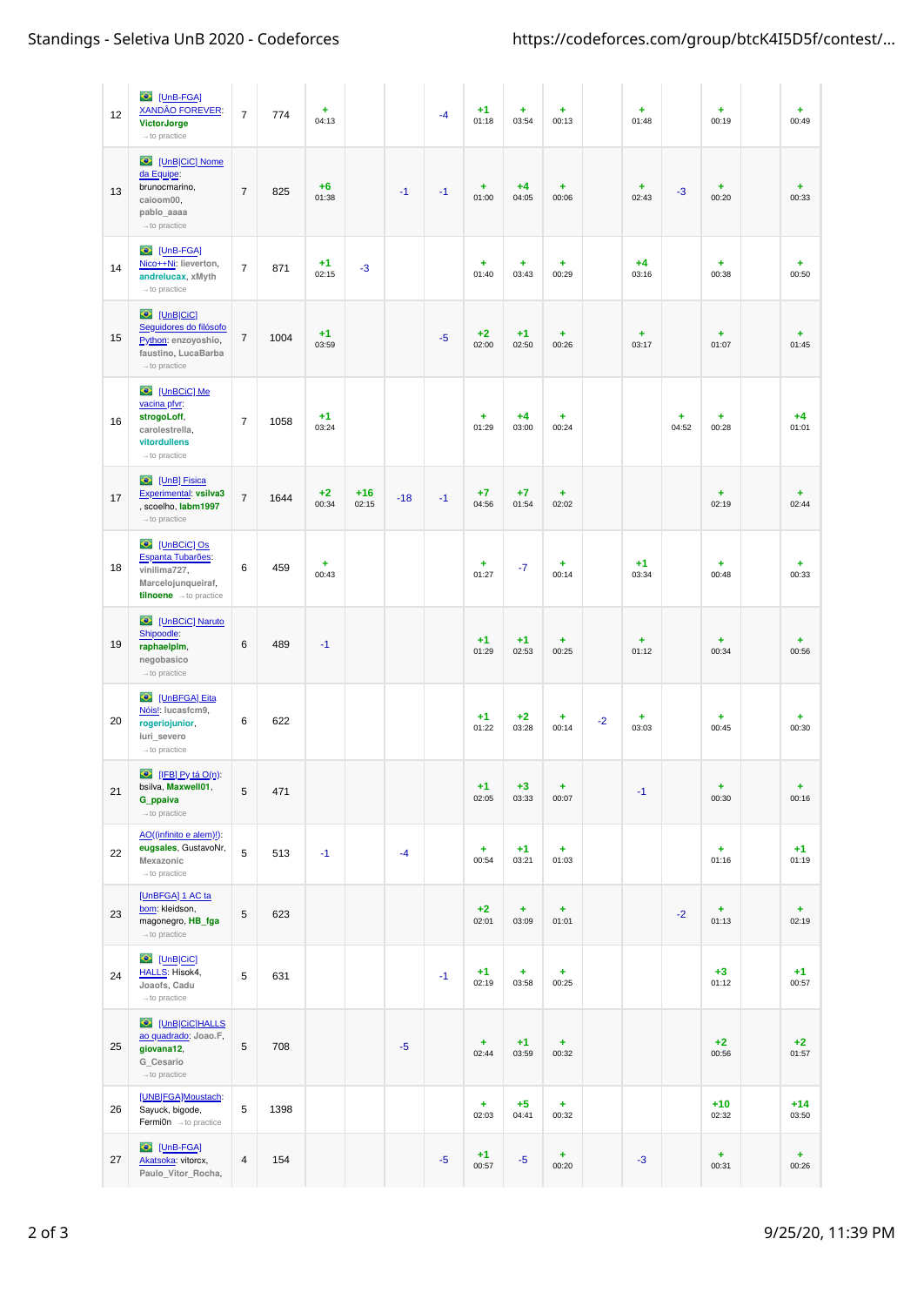| 12 | O [UnB-FGA]<br><b>XANDÂO FOREVER:</b><br><b>VictorJorge</b><br>$\rightarrow$ to practice                                | $\overline{7}$ | 774  | ÷<br>04:13    |                |       | $-4$ | $+1$<br>01:18      | ÷<br>03:54         | ÷<br>00:13         |      | ÷<br>01:48         |                    | ÷<br>00:19         | ÷<br>00:49         |
|----|-------------------------------------------------------------------------------------------------------------------------|----------------|------|---------------|----------------|-------|------|--------------------|--------------------|--------------------|------|--------------------|--------------------|--------------------|--------------------|
| 13 | C [UnB CiC] Nome<br>da Equipe:<br>brunocmarino,<br>caioom00,<br>pablo_aaaa<br>$\rightarrow$ to practice                 | $\overline{7}$ | 825  | $+6$<br>01:38 |                | $-1$  | $-1$ | ÷<br>01:00         | $+4$<br>04:05      | $\ddot{}$<br>00:06 |      | ÷<br>02:43         | $-3$               | ÷<br>00:20         | ÷<br>00:33         |
| 14 | UnB-FGA]<br>Nico++Ni: lieverton,<br>andrelucax, xMyth<br>$\rightarrow$ to practice                                      | $\overline{7}$ | 871  | $+1$<br>02:15 | $-3$           |       |      | ÷<br>01:40         | ÷<br>03:43         | $\ddot{}$<br>00:29 |      | $+4$<br>03:16      |                    | $\ddot{}$<br>00:38 | ÷<br>00:50         |
| 15 | <b>O</b> [UnB CiC]<br>Seguidores do filósofo<br>Python: enzoyoshio,<br>faustino, LucaBarba<br>$\rightarrow$ to practice | $\sqrt{ }$     | 1004 | $+1$<br>03:59 |                |       | $-5$ | $+2$<br>02:00      | $+1$<br>02:50      | $\ddot{}$<br>00:26 |      | ÷<br>03:17         |                    | ÷<br>01:07         | ÷<br>01:45         |
| 16 | $\bullet$<br>[UnBCiC] Me<br>vacina pfvr:<br>strogoLoff,<br>carolestrella,<br>vitordullens<br>$\rightarrow$ to practice  | $\overline{7}$ | 1058 | $+1$<br>03:24 |                |       |      | ÷<br>01:29         | $+4$<br>03:00      | $\ddot{}$<br>00:24 |      |                    | $\ddot{}$<br>04:52 | ÷<br>00:28         | $+4$<br>01:01      |
| 17 | C [UnB] Fisica<br>Experimental: vsilva3<br>scoelho, labm1997<br>$\rightarrow$ to practice                               | $\overline{7}$ | 1644 | $+2$<br>00:34 | $+16$<br>02:15 | $-18$ | $-1$ | $+7$<br>04:56      | $+7$<br>01:54      | ÷<br>02:02         |      |                    |                    | $\ddot{}$<br>02:19 | $\ddot{}$<br>02:44 |
| 18 | C [UnBCiC] Os<br>Espanta Tubarões:<br>vinilima727,<br>Marcelojunqueiraf,<br>tilnoene -to practice                       | 6              | 459  | ÷<br>00:43    |                |       |      | $\ddot{}$<br>01:27 | $-7$               | $\ddot{}$<br>00:14 |      | $+1$<br>03:34      |                    | $\ddot{}$<br>00:48 | $\ddot{}$<br>00:33 |
| 19 | C [UnBCiC] Naruto<br>Shipoodle:<br>raphaelplm,<br>negobasico<br>$\rightarrow$ to practice                               | 6              | 489  | $-1$          |                |       |      | $+1$<br>01:29      | $+1$<br>02:53      | ÷<br>00:25         |      | $\ddot{}$<br>01:12 |                    | $\ddot{}$<br>00:34 | ÷<br>00:56         |
| 20 | C [UnBFGA] Eita<br>Nóis!: lucasfcm9,<br>rogeriojunior,<br>iuri severo<br>$\rightarrow$ to practice                      | 6              | 622  |               |                |       |      | $+1$<br>01:22      | $+2$<br>03:28      | ÷<br>00:14         | $-2$ | ÷<br>03:03         |                    | $\ddot{}$<br>00:45 | ÷<br>00:30         |
| 21 | D [IFB] Py tá Q(n):<br>bsilva, Maxwell01,<br>G ppaiva<br>$\rightarrow$ to practice                                      | 5              | 471  |               |                |       |      | $+1$<br>02:05      | $+3$<br>03:33      | ÷<br>00:07         |      | $-1$               |                    | ÷<br>00:30         | ÷<br>00:16         |
| 22 | AO((infinito e alem)!):<br>eugsales, GustavoNr,<br>Mexazonic<br>$\rightarrow$ to practice                               | 5              | 513  | $-1$          |                | $-4$  |      | ÷<br>00:54         | $+1$<br>03:21      | $\ddot{}$<br>01:03 |      |                    |                    | ÷<br>01:16         | $+1$<br>01:19      |
| 23 | [UnBFGA] 1 AC ta<br>bom: kleidson,<br>magonegro, HB_fga<br>$\rightarrow$ to practice                                    | 5              | 623  |               |                |       |      | $+2$<br>02:01      | $\ddot{}$<br>03:09 | ÷<br>01:01         |      |                    | $-2$               | ÷<br>01:13         | ÷<br>02:19         |
| 24 | [UnB CiC]<br>$\bullet$<br>HALLS: Hisok4,<br>Joaofs, Cadu<br>$\rightarrow$ to practice                                   | 5              | 631  |               |                |       | $-1$ | $+1$<br>02:19      | ÷<br>03:58         | ÷<br>00:25         |      |                    |                    | $+3$<br>01:12      | $+1$<br>00:57      |
| 25 | UnBCCCHALLS<br>ao quadrado: Joao.F,<br>giovana12,<br>G_Cesario<br>$\rightarrow$ to practice                             | 5              | 708  |               |                | $-5$  |      | $\ddot{}$<br>02:44 | $+1$<br>03:59      | ÷<br>00:32         |      |                    |                    | $+2$<br>00:56      | $+2$<br>01:57      |
| 26 | [UNB FGA]Moustach:<br>Sayuck, bigode,<br>Fermi0n $\rightarrow$ to practice                                              | 5              | 1398 |               |                |       |      | $\ddot{}$<br>02:03 | $+5$<br>04:41      | ÷<br>00:32         |      |                    |                    | $+10$<br>02:32     | $+14$<br>03:50     |
| 27 | O [UnB-FGA]<br>Akatsoka: vitorcx,<br>Paulo_Vitor_Rocha,                                                                 | 4              | 154  |               |                |       | $-5$ | $+1$<br>00:57      | $-5$               | ÷<br>00:20         |      | $-3$               |                    | $\ddot{}$<br>00:31 | ÷<br>00:26         |